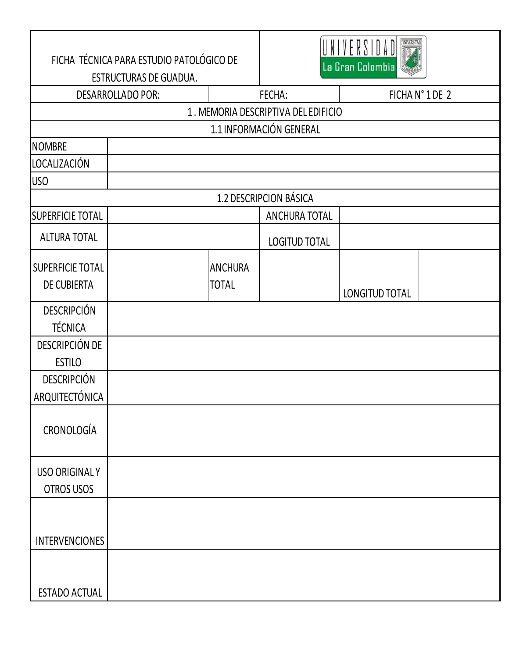| FICHA TÉCNICA PARA ESTUDIO PATOLÓGICO DE<br>ESTRUCTURAS DE GUADUA. |                        | La Gran Colombia               |                                     |                       |  |  |
|--------------------------------------------------------------------|------------------------|--------------------------------|-------------------------------------|-----------------------|--|--|
| <b>DESARROLLADO POR:</b>                                           |                        |                                | FECHA:                              | FICHA N° 1 DE 2       |  |  |
|                                                                    |                        |                                | 1. MEMORIA DESCRIPTIVA DEL EDIFICIO |                       |  |  |
| 1.1 INFORMACIÓN GENERAL                                            |                        |                                |                                     |                       |  |  |
| <b>NOMBRE</b>                                                      |                        |                                |                                     |                       |  |  |
| LOCALIZACIÓN                                                       |                        |                                |                                     |                       |  |  |
| USO                                                                |                        |                                |                                     |                       |  |  |
|                                                                    | 1.2 DESCRIPCION BÁSICA |                                |                                     |                       |  |  |
| <b>SUPERFICIE TOTAL</b>                                            |                        |                                | <b>ANCHURA TOTAL</b>                |                       |  |  |
| <b>ALTURA TOTAL</b>                                                |                        |                                | <b>LOGITUD TOTAL</b>                |                       |  |  |
| SUPERFICIE TOTAL<br><b>DE CUBIERTA</b>                             |                        | <b>ANCHURA</b><br><b>TOTAL</b> |                                     | <b>LONGITUD TOTAL</b> |  |  |
| <b>DESCRIPCIÓN</b><br><b>TÉCNICA</b>                               |                        |                                |                                     |                       |  |  |
| DESCRIPCIÓN DE<br><b>ESTILO</b>                                    |                        |                                |                                     |                       |  |  |
| <b>DESCRIPCIÓN</b><br>ARQUITECTÓNICA                               |                        |                                |                                     |                       |  |  |
| CRONOLOGÍA                                                         |                        |                                |                                     |                       |  |  |
| <b>USO ORIGINALY</b><br>OTROS USOS                                 |                        |                                |                                     |                       |  |  |
| <b>INTERVENCIONES</b>                                              |                        |                                |                                     |                       |  |  |
| <b>ESTADO ACTUAL</b>                                               |                        |                                |                                     |                       |  |  |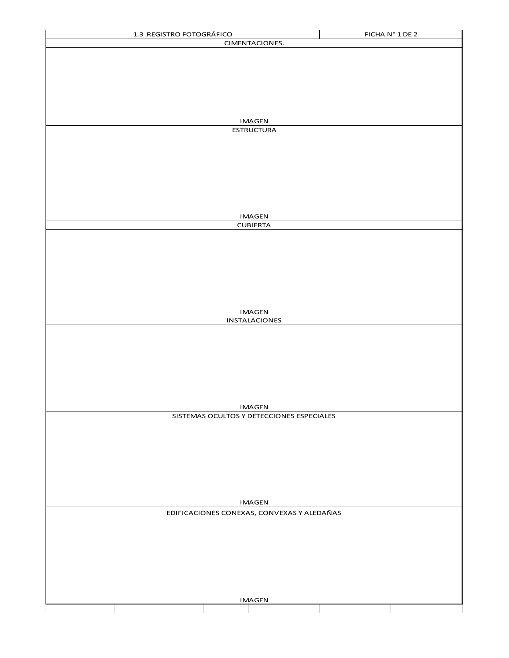| 1.3 REGISTRO FOTOGRÁFICO                   | FICHA N° 1 DE 2 |  |  |  |  |
|--------------------------------------------|-----------------|--|--|--|--|
| CIMENTACIONES.                             |                 |  |  |  |  |
|                                            |                 |  |  |  |  |
|                                            |                 |  |  |  |  |
|                                            |                 |  |  |  |  |
|                                            |                 |  |  |  |  |
|                                            |                 |  |  |  |  |
|                                            |                 |  |  |  |  |
|                                            |                 |  |  |  |  |
|                                            |                 |  |  |  |  |
| <b>IMAGEN</b>                              |                 |  |  |  |  |
| <b>ESTRUCTURA</b>                          |                 |  |  |  |  |
|                                            |                 |  |  |  |  |
|                                            |                 |  |  |  |  |
|                                            |                 |  |  |  |  |
|                                            |                 |  |  |  |  |
|                                            |                 |  |  |  |  |
|                                            |                 |  |  |  |  |
|                                            |                 |  |  |  |  |
|                                            |                 |  |  |  |  |
| <b>IMAGEN</b>                              |                 |  |  |  |  |
| <b>CUBIERTA</b>                            |                 |  |  |  |  |
|                                            |                 |  |  |  |  |
|                                            |                 |  |  |  |  |
|                                            |                 |  |  |  |  |
|                                            |                 |  |  |  |  |
|                                            |                 |  |  |  |  |
|                                            |                 |  |  |  |  |
|                                            |                 |  |  |  |  |
|                                            |                 |  |  |  |  |
|                                            |                 |  |  |  |  |
| <b>IMAGEN</b>                              |                 |  |  |  |  |
| INSTALACIONES                              |                 |  |  |  |  |
|                                            |                 |  |  |  |  |
|                                            |                 |  |  |  |  |
|                                            |                 |  |  |  |  |
|                                            |                 |  |  |  |  |
|                                            |                 |  |  |  |  |
|                                            |                 |  |  |  |  |
|                                            |                 |  |  |  |  |
|                                            |                 |  |  |  |  |
| <b>IMAGEN</b>                              |                 |  |  |  |  |
| SISTEMAS OCULTOS Y DETECCIONES ESPECIALES  |                 |  |  |  |  |
|                                            |                 |  |  |  |  |
|                                            |                 |  |  |  |  |
|                                            |                 |  |  |  |  |
|                                            |                 |  |  |  |  |
|                                            |                 |  |  |  |  |
|                                            |                 |  |  |  |  |
|                                            |                 |  |  |  |  |
|                                            |                 |  |  |  |  |
|                                            |                 |  |  |  |  |
| <b>IMAGEN</b>                              |                 |  |  |  |  |
| EDIFICACIONES CONEXAS, CONVEXAS Y ALEDAÑAS |                 |  |  |  |  |
|                                            |                 |  |  |  |  |
|                                            |                 |  |  |  |  |
|                                            |                 |  |  |  |  |
|                                            |                 |  |  |  |  |
|                                            |                 |  |  |  |  |
|                                            |                 |  |  |  |  |
|                                            |                 |  |  |  |  |
|                                            |                 |  |  |  |  |
|                                            |                 |  |  |  |  |
| <b>IMAGEN</b>                              |                 |  |  |  |  |
|                                            |                 |  |  |  |  |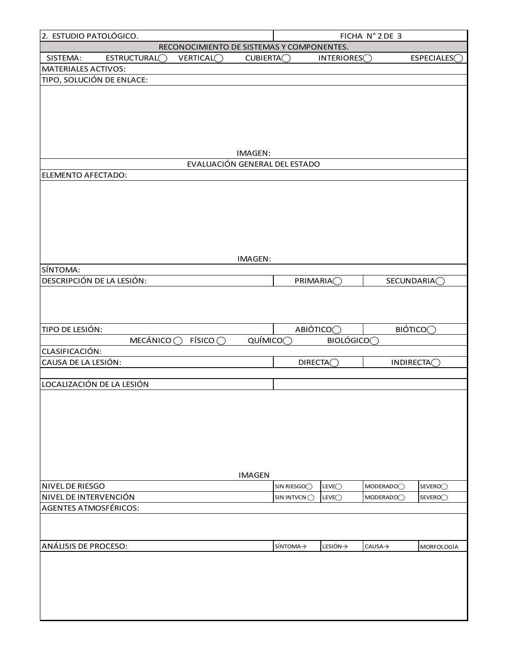| 2. ESTUDIO PATOLÓGICO.<br>FICHA N° 2 DE 3 |                          |                                           |                         |                               |                           |                       |                         |
|-------------------------------------------|--------------------------|-------------------------------------------|-------------------------|-------------------------------|---------------------------|-----------------------|-------------------------|
|                                           |                          | RECONOCIMIENTO DE SISTEMAS Y COMPONENTES. |                         |                               |                           |                       |                         |
| SISTEMA:                                  | ESTRUCTURAL <sub>C</sub> | VERTICAL <sub>O</sub>                     | CUBIERTA <sub>(</sub> ) |                               | INTERIORES <sub>(</sub> ) |                       | ESPECIALES <sub>C</sub> |
| MATERIALES ACTIVOS:                       |                          |                                           |                         |                               |                           |                       |                         |
| TIPO, SOLUCIÓN DE ENLACE:                 |                          |                                           |                         |                               |                           |                       |                         |
|                                           |                          |                                           |                         |                               |                           |                       |                         |
|                                           |                          |                                           |                         |                               |                           |                       |                         |
|                                           |                          |                                           |                         |                               |                           |                       |                         |
|                                           |                          |                                           |                         |                               |                           |                       |                         |
|                                           |                          |                                           |                         |                               |                           |                       |                         |
|                                           |                          |                                           | IMAGEN:                 |                               |                           |                       |                         |
|                                           |                          |                                           |                         | EVALUACIÓN GENERAL DEL ESTADO |                           |                       |                         |
| ELEMENTO AFECTADO:                        |                          |                                           |                         |                               |                           |                       |                         |
|                                           |                          |                                           |                         |                               |                           |                       |                         |
|                                           |                          |                                           |                         |                               |                           |                       |                         |
|                                           |                          |                                           |                         |                               |                           |                       |                         |
|                                           |                          |                                           |                         |                               |                           |                       |                         |
|                                           |                          |                                           |                         |                               |                           |                       |                         |
|                                           |                          |                                           |                         |                               |                           |                       |                         |
|                                           |                          |                                           | IMAGEN:                 |                               |                           |                       |                         |
| SÍNTOMA:                                  |                          |                                           |                         |                               |                           |                       |                         |
| DESCRIPCIÓN DE LA LESIÓN:                 |                          |                                           |                         | <b>PRIMARIA</b> O             |                           |                       | SECUNDARIA <sub>O</sub> |
|                                           |                          |                                           |                         |                               |                           |                       |                         |
|                                           |                          |                                           |                         |                               |                           |                       |                         |
|                                           |                          |                                           |                         |                               |                           |                       |                         |
| TIPO DE LESIÓN:                           |                          |                                           |                         | ABIÓTICO◯                     |                           |                       | BiÓTICO                 |
|                                           | MECÁNICO ◯               | F(SICO)                                   | QUÍMICO <sub>O</sub>    |                               | <b>BIOLÓGICO</b>          |                       |                         |
| CLASIFICACIÓN:<br>CAUSA DE LA LESIÓN:     |                          |                                           |                         |                               |                           |                       |                         |
|                                           |                          |                                           |                         | <b>DIRECTA</b>                |                           |                       | INDIRECTA <sub>C</sub>  |
| LOCALIZACIÓN DE LA LESIÓN                 |                          |                                           |                         |                               |                           |                       |                         |
|                                           |                          |                                           |                         |                               |                           |                       |                         |
|                                           |                          |                                           |                         |                               |                           |                       |                         |
|                                           |                          |                                           |                         |                               |                           |                       |                         |
|                                           |                          |                                           |                         |                               |                           |                       |                         |
|                                           |                          |                                           |                         |                               |                           |                       |                         |
|                                           |                          |                                           |                         |                               |                           |                       |                         |
|                                           |                          |                                           |                         |                               |                           |                       |                         |
|                                           |                          |                                           | <b>IMAGEN</b>           |                               |                           |                       |                         |
| NIVEL DE RIESGO                           |                          |                                           |                         | SIN RIESGOO                   | LEVE <sub>O</sub>         | MODERADO <sub>O</sub> | SEVERO <sub>O</sub>     |
| NIVEL DE INTERVENCIÓN                     |                          |                                           |                         | SIN INTVCNO                   | LEVE <sub>O</sub>         | MODERADO <sub>O</sub> | SEVERO <sub>O</sub>     |
| AGENTES ATMOSFÉRICOS:                     |                          |                                           |                         |                               |                           |                       |                         |
|                                           |                          |                                           |                         |                               |                           |                       |                         |
|                                           |                          |                                           |                         |                               |                           |                       |                         |
| ANÁLISIS DE PROCESO:                      |                          |                                           |                         | SÍNTOMA→                      | LESIÓN→                   | CAUSA→                | MORFOLOGÍA              |
|                                           |                          |                                           |                         |                               |                           |                       |                         |
|                                           |                          |                                           |                         |                               |                           |                       |                         |
|                                           |                          |                                           |                         |                               |                           |                       |                         |
|                                           |                          |                                           |                         |                               |                           |                       |                         |
|                                           |                          |                                           |                         |                               |                           |                       |                         |
|                                           |                          |                                           |                         |                               |                           |                       |                         |